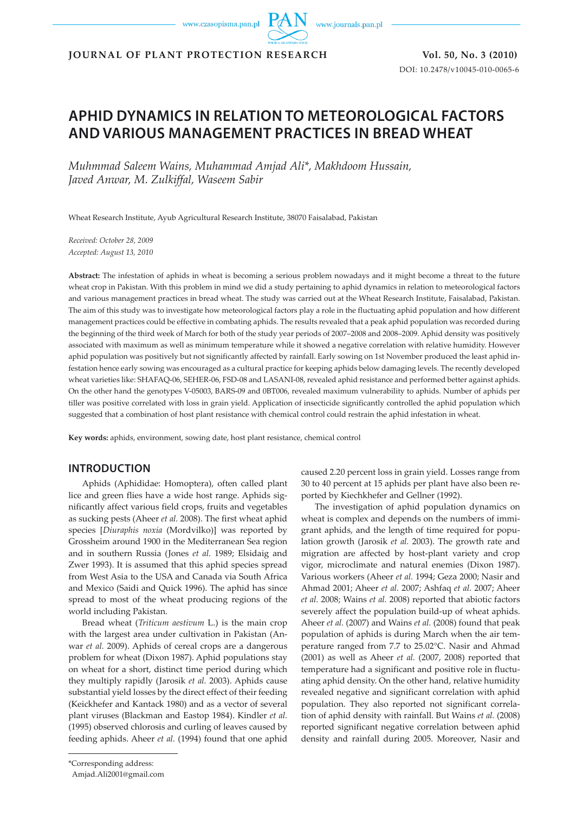www.czasopisma.pan.pl

www.journals.pan.pl

**JOURNAL OF PLANT PROTECTION RESEARCH Vol. 50, No. 3 (2010)** 

DOI: 10.2478/v10045-010-0065-6

# **APHID DYNAMICS IN RELATION TO METEOROLOGICAL FACTORS AND VARIOUS MANAGEMENT PRACTICES IN BREAD WHEAT**

*Muhmmad Saleem Wains, Muhammad Amjad Ali\*, Makhdoom Hussain, Javed Anwar, M. Zulkiffal, Waseem Sabir* 

Wheat Research Institute, Ayub Agricultural Research Institute, 38070 Faisalabad, Pakistan

*Received: October 28, 2009 Accepted: August 13, 2010*

**Abstract:** The infestation of aphids in wheat is becoming a serious problem nowadays and it might become a threat to the future wheat crop in Pakistan. With this problem in mind we did a study pertaining to aphid dynamics in relation to meteorological factors and various management practices in bread wheat. The study was carried out at the Wheat Research Institute, Faisalabad, Pakistan. The aim of this study was to investigate how meteorological factors play a role in the fluctuating aphid population and how different management practices could be effective in combating aphids. The results revealed that a peak aphid population was recorded during the beginning of the third week of March for both of the study year periods of 2007–2008 and 2008–2009. Aphid density was positively associated with maximum as well as minimum temperature while it showed a negative correlation with relative humidity. However aphid population was positively but not significantly affected by rainfall. Early sowing on 1st November produced the least aphid infestation hence early sowing was encouraged as a cultural practice for keeping aphids below damaging levels. The recently developed wheat varieties like: SHAFAQ-06, SEHER-06, FSD-08 and LASANI-08, revealed aphid resistance and performed better against aphids. On the other hand the genotypes V-05003, BARS-09 and 0BT006, revealed maximum vulnerability to aphids. Number of aphids per tiller was positive correlated with loss in grain yield. Application of insecticide significantly controlled the aphid population which suggested that a combination of host plant resistance with chemical control could restrain the aphid infestation in wheat.

**Key words:** aphids, environment, sowing date, host plant resistance, chemical control

# **INTRODUCTION**

Aphids (Aphididae: Homoptera), often called plant lice and green flies have a wide host range. Aphids significantly affect various field crops, fruits and vegetables as sucking pests (Aheer *et al.* 2008). The first wheat aphid species [*Diuraphis noxia* (Mordvilko)] was reported by Grossheim around 1900 in the Mediterranean Sea region and in southern Russia (Jones *et al.* 1989; Elsidaig and Zwer 1993). It is assumed that this aphid species spread from West Asia to the USA and Canada via South Africa and Mexico (Saidi and Quick 1996). The aphid has since spread to most of the wheat producing regions of the world including Pakistan.

Bread wheat (*Triticum aestivum* L.) is the main crop with the largest area under cultivation in Pakistan (Anwar *et al.* 2009). Aphids of cereal crops are a dangerous problem for wheat (Dixon 1987). Aphid populations stay on wheat for a short, distinct time period during which they multiply rapidly (Jarosik *et al.* 2003). Aphids cause substantial yield losses by the direct effect of their feeding (Keickhefer and Kantack 1980) and as a vector of several plant viruses (Blackman and Eastop 1984). Kindler *et al.* (1995) observed chlorosis and curling of leaves caused by feeding aphids. Aheer *et al.* (1994) found that one aphid caused 2.20 percent loss in grain yield. Losses range from 30 to 40 percent at 15 aphids per plant have also been reported by Kiechkhefer and Gellner (1992).

The investigation of aphid population dynamics on wheat is complex and depends on the numbers of immigrant aphids, and the length of time required for population growth (Jarosik *et al.* 2003). The growth rate and migration are affected by host-plant variety and crop vigor, microclimate and natural enemies (Dixon 1987). Various workers (Aheer *et al.* 1994; Geza 2000; Nasir and Ahmad 2001; Aheer *et al.* 2007; Ashfaq *et al.* 2007; Aheer *et al.* 2008; Wains *et al.* 2008) reported that abiotic factors severely affect the population build-up of wheat aphids. Aheer *et al.* (2007) and Wains *et al.* (2008) found that peak population of aphids is during March when the air temperature ranged from 7.7 to 25.02°C. Nasir and Ahmad (2001) as well as Aheer *et al.* (2007, 2008) reported that temperature had a significant and positive role in fluctuating aphid density. On the other hand, relative humidity revealed negative and significant correlation with aphid population. They also reported not significant correlation of aphid density with rainfall. But Wains *et al.* (2008) reported significant negative correlation between aphid density and rainfall during 2005. Moreover, Nasir and

<sup>\*</sup>Corresponding address:

Amjad.Ali2001@gmail.com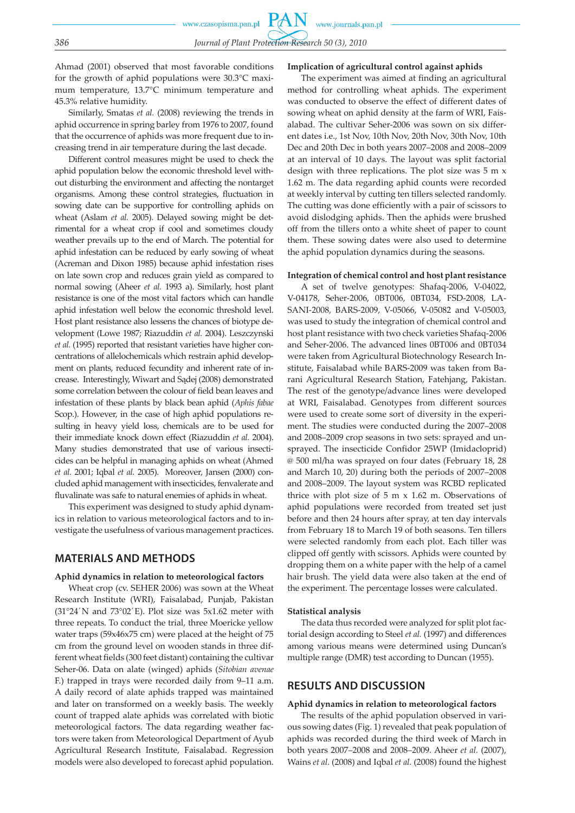Ahmad (2001) observed that most favorable conditions for the growth of aphid populations were 30.3°C maximum temperature, 13.7°C minimum temperature and 45.3% relative humidity.

Similarly, Smatas *et al.* (2008) reviewing the trends in aphid occurrence in spring barley from 1976 to 2007, found that the occurrence of aphids was more frequent due to increasing trend in air temperature during the last decade.

Different control measures might be used to check the aphid population below the economic threshold level without disturbing the environment and affecting the nontarget organisms. Among these control strategies, fluctuation in sowing date can be supportive for controlling aphids on wheat (Aslam *et al.* 2005). Delayed sowing might be detrimental for a wheat crop if cool and sometimes cloudy weather prevails up to the end of March. The potential for aphid infestation can be reduced by early sowing of wheat (Acreman and Dixon 1985) because aphid infestation rises on late sown crop and reduces grain yield as compared to normal sowing (Aheer *et al.* 1993 a). Similarly, host plant resistance is one of the most vital factors which can handle aphid infestation well below the economic threshold level. Host plant resistance also lessens the chances of biotype development (Lowe 1987; Riazuddin *et al.* 2004). Leszczynski *et al.* (1995) reported that resistant varieties have higher concentrations of allelochemicals which restrain aphid development on plants, reduced fecundity and inherent rate of increase. Interestingly, Wiwart and Sądej (2008) demonstrated some correlation between the colour of field bean leaves and infestation of these plants by black bean aphid (*Aphis fabae*  Scop.). However, in the case of high aphid populations resulting in heavy yield loss, chemicals are to be used for their immediate knock down effect (Riazuddin *et al.* 2004). Many studies demonstrated that use of various insecticides can be helpful in managing aphids on wheat (Ahmed *et al.* 2001; Iqbal *et al.* 2005). Moreover, Jansen (2000) concluded aphid management with insecticides, fenvalerate and fluvalinate was safe to natural enemies of aphids in wheat.

This experiment was designed to study aphid dynamics in relation to various meteorological factors and to investigate the usefulness of various management practices.

## **MATERIALS AND METHODS**

#### **Aphid dynamics in relation to meteorological factors**

Wheat crop (cv. SEHER 2006) was sown at the Wheat Research Institute (WRI), Faisalabad, Punjab, Pakistan (31°24′ N and 73°02′ E). Plot size was  $5x1.62$  meter with three repeats. To conduct the trial, three Moericke yellow water traps (59x46x75 cm) were placed at the height of 75 cm from the ground level on wooden stands in three different wheat fields (300 feet distant) containing the cultivar Seher-06. Data on alate (winged) aphids (*Sitobian avenae* F.) trapped in trays were recorded daily from 9–11 a.m. A daily record of alate aphids trapped was maintained and later on transformed on a weekly basis. The weekly count of trapped alate aphids was correlated with biotic meteorological factors. The data regarding weather factors were taken from Meteorological Department of Ayub Agricultural Research Institute, Faisalabad. Regression models were also developed to forecast aphid population.

### **Implication of agricultural control against aphids**

The experiment was aimed at finding an agricultural method for controlling wheat aphids. The experiment was conducted to observe the effect of different dates of sowing wheat on aphid density at the farm of WRI, Faisalabad. The cultivar Seher-2006 was sown on six different dates i.e., 1st Nov, 10th Nov, 20th Nov, 30th Nov, 10th Dec and 20th Dec in both years 2007–2008 and 2008–2009 at an interval of 10 days. The layout was split factorial design with three replications. The plot size was 5 m x 1.62 m. The data regarding aphid counts were recorded at weekly interval by cutting ten tillers selected randomly. The cutting was done efficiently with a pair of scissors to avoid dislodging aphids. Then the aphids were brushed off from the tillers onto a white sheet of paper to count them. These sowing dates were also used to determine the aphid population dynamics during the seasons.

#### **Integration of chemical control and host plant resistance**

A set of twelve genotypes: Shafaq-2006, V-04022, V-04178, Seher-2006, 0BT006, 0BT034, FSD-2008, LA-SANI-2008, BARS-2009, V-05066, V-05082 and V-05003, was used to study the integration of chemical control and host plant resistance with two check varieties Shafaq-2006 and Seher-2006. The advanced lines 0BT006 and 0BT034 were taken from Agricultural Biotechnology Research Institute, Faisalabad while BARS-2009 was taken from Barani Agricultural Research Station, Fatehjang, Pakistan. The rest of the genotype/advance lines were developed at WRI, Faisalabad. Genotypes from different sources were used to create some sort of diversity in the experiment. The studies were conducted during the 2007–2008 and 2008–2009 crop seasons in two sets: sprayed and unsprayed. The insecticide Confidor 25WP (Imidacloprid) @ 500 ml/ha was sprayed on four dates (February 18, 28 and March 10, 20) during both the periods of 2007–2008 and 2008–2009. The layout system was RCBD replicated thrice with plot size of 5 m x 1.62 m. Observations of aphid populations were recorded from treated set just before and then 24 hours after spray, at ten day intervals from February 18 to March 19 of both seasons. Ten tillers were selected randomly from each plot. Each tiller was clipped off gently with scissors. Aphids were counted by dropping them on a white paper with the help of a camel hair brush. The yield data were also taken at the end of the experiment. The percentage losses were calculated.

#### **Statistical analysis**

The data thus recorded were analyzed for split plot factorial design according to Steel *et al.* (1997) and differences among various means were determined using Duncan's multiple range (DMR) test according to Duncan (1955).

# **RESULTS AND DISCUSSION**

#### **Aphid dynamics in relation to meteorological factors**

The results of the aphid population observed in various sowing dates (Fig. 1) revealed that peak population of aphids was recorded during the third week of March in both years 2007–2008 and 2008–2009. Aheer *et al.* (2007), Wains *et al.* (2008) and Iqbal *et al.* (2008) found the highest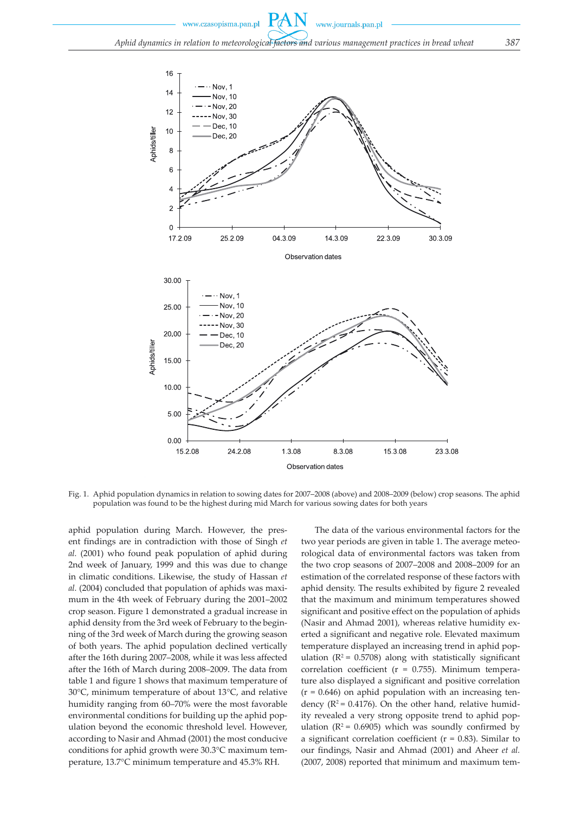www.czasopisma.pan.pl



Fig. 1. Aphid population dynamics in relation to sowing dates for 2007–2008 (above) and 2008–2009 (below) crop seasons. The aphid population was found to be the highest during mid March for various sowing dates for both years

aphid population during March. However, the present findings are in contradiction with those of Singh *et al.* (2001) who found peak population of aphid during 2nd week of January, 1999 and this was due to change in climatic conditions. Likewise, the study of Hassan *et al.* (2004) concluded that population of aphids was maximum in the 4th week of February during the 2001–2002 crop season. Figure 1 demonstrated a gradual increase in aphid density from the 3rd week of February to the beginning of the 3rd week of March during the growing season of both years. The aphid population declined vertically after the 16th during 2007–2008, while it was less affected after the 16th of March during 2008–2009. The data from table 1 and figure 1 shows that maximum temperature of 30°C, minimum temperature of about 13°C, and relative humidity ranging from 60–70% were the most favorable environmental conditions for building up the aphid population beyond the economic threshold level. However, according to Nasir and Ahmad (2001) the most conducive conditions for aphid growth were 30.3°C maximum temperature, 13.7°C minimum temperature and 45.3% RH.

The data of the various environmental factors for the two year periods are given in table 1. The average meteorological data of environmental factors was taken from the two crop seasons of 2007–2008 and 2008–2009 for an estimation of the correlated response of these factors with aphid density. The results exhibited by figure 2 revealed that the maximum and minimum temperatures showed significant and positive effect on the population of aphids (Nasir and Ahmad 2001), whereas relative humidity exerted a significant and negative role. Elevated maximum temperature displayed an increasing trend in aphid population ( $R^2$  = 0.5708) along with statistically significant correlation coefficient (r = 0.755). Minimum temperature also displayed a significant and positive correlation  $(r = 0.646)$  on aphid population with an increasing tendency ( $R^2$  = 0.4176). On the other hand, relative humidity revealed a very strong opposite trend to aphid population ( $R^2$  = 0.6905) which was soundly confirmed by a significant correlation coefficient ( $r = 0.83$ ). Similar to our findings, Nasir and Ahmad (2001) and Aheer *et al.* (2007, 2008) reported that minimum and maximum tem-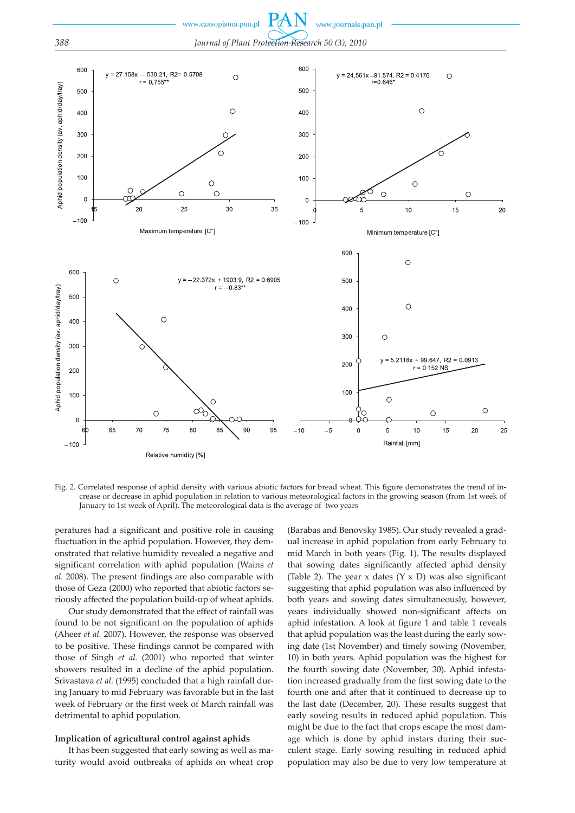

Fig. 2. Correlated response of aphid density with various abiotic factors for bread wheat. This figure demonstrates the trend of increase or decrease in aphid population in relation to various meteorological factors in the growing season (from 1st week of January to 1st week of April). The meteorological data is the average of two years

peratures had a significant and positive role in causing fluctuation in the aphid population. However, they demonstrated that relative humidity revealed a negative and significant correlation with aphid population (Wains *et al.* 2008). The present findings are also comparable with those of Geza (2000) who reported that abiotic factors seriously affected the population build-up of wheat aphids.

Our study demonstrated that the effect of rainfall was found to be not significant on the population of aphids (Aheer *et al.* 2007). However, the response was observed to be positive. These findings cannot be compared with those of Singh *et al.* (2001) who reported that winter showers resulted in a decline of the aphid population. Srivastava *et al.* (1995) concluded that a high rainfall during January to mid February was favorable but in the last week of February or the first week of March rainfall was detrimental to aphid population.

#### **Implication of agricultural control against aphids**

It has been suggested that early sowing as well as maturity would avoid outbreaks of aphids on wheat crop

(Barabas and Benovsky 1985). Our study revealed a gradual increase in aphid population from early February to mid March in both years (Fig. 1). The results displayed that sowing dates significantly affected aphid density (Table 2). The year x dates  $(Y \times D)$  was also significant suggesting that aphid population was also influenced by both years and sowing dates simultaneously, however, years individually showed non-significant affects on aphid infestation. A look at figure 1 and table 1 reveals that aphid population was the least during the early sowing date (1st November) and timely sowing (November, 10) in both years. Aphid population was the highest for the fourth sowing date (November, 30). Aphid infestation increased gradually from the first sowing date to the fourth one and after that it continued to decrease up to the last date (December, 20). These results suggest that early sowing results in reduced aphid population. This might be due to the fact that crops escape the most damage which is done by aphid instars during their succulent stage. Early sowing resulting in reduced aphid population may also be due to very low temperature at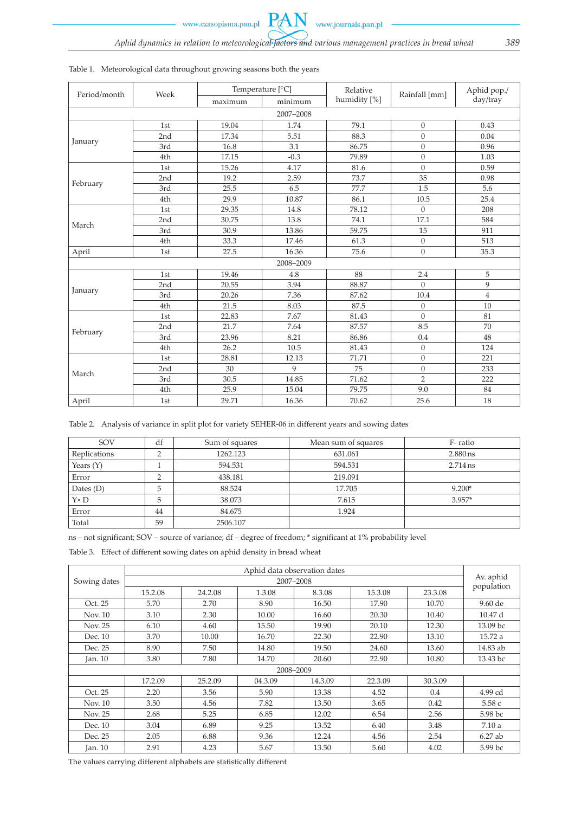www.czasopisma.pan.pl

**PAN** 

| Period/month | Week | Temperature [°C] |           | Relative     | Rainfall [mm]  | Aphid pop./    |  |
|--------------|------|------------------|-----------|--------------|----------------|----------------|--|
|              |      | maximum          | minimum   | humidity [%] |                | day/tray       |  |
| 2007-2008    |      |                  |           |              |                |                |  |
| January      | 1st  | 19.04            | 1.74      | 79.1         | $\overline{0}$ | 0.43           |  |
|              | 2nd  | 17.34            | 5.51      | 88.3         | $\theta$       | 0.04           |  |
|              | 3rd  | 16.8             | 3.1       | 86.75        | $\overline{0}$ | 0.96           |  |
|              | 4th  | 17.15            | $-0.3$    | 79.89        | $\overline{0}$ | 1.03           |  |
|              | 1st  | 15.26            | 4.17      | 81.6         | $\theta$       | 0.59           |  |
|              | 2nd  | 19.2             | 2.59      | 73.7         | 35             | 0.98           |  |
| February     | 3rd  | 25.5             | 6.5       | 77.7         | 1.5            | 5.6            |  |
|              | 4th  | 29.9             | 10.87     | 86.1         | 10.5           | 25.4           |  |
|              | 1st  | 29.35            | 14.8      | 78.12        | $\mathbf{0}$   | 208            |  |
|              | 2nd  | 30.75            | 13.8      | 74.1         | 17.1           | 584            |  |
| March        | 3rd  | 30.9             | 13.86     | 59.75        | 15             | 911            |  |
|              | 4th  | 33.3             | 17.46     | 61.3         | $\overline{0}$ | 513            |  |
| April        | 1st  | 27.5             | 16.36     | 75.6         | $\overline{0}$ | 35.3           |  |
|              |      |                  | 2008-2009 |              |                |                |  |
| January      | 1st  | 19.46            | 4.8       | 88           | 2.4            | 5              |  |
|              | 2nd  | 20.55            | 3.94      | 88.87        | $\theta$       | 9              |  |
|              | 3rd  | 20.26            | 7.36      | 87.62        | 10.4           | $\overline{4}$ |  |
|              | 4th  | 21.5             | 8.03      | 87.5         | $\overline{0}$ | 10             |  |
| February     | 1st  | 22.83            | 7.67      | 81.43        | $\overline{0}$ | 81             |  |
|              | 2nd  | 21.7             | 7.64      | 87.57        | 8.5            | 70             |  |
|              | 3rd  | 23.96            | 8.21      | 86.86        | 0.4            | 48             |  |
|              | 4th  | 26.2             | 10.5      | 81.43        | $\overline{0}$ | 124            |  |
|              | 1st  | 28.81            | 12.13     | 71.71        | $\overline{0}$ | 221            |  |
|              | 2nd  | 30               | 9         | 75           | $\mathbf{0}$   | 233            |  |
| March        | 3rd  | 30.5             | 14.85     | 71.62        | $\overline{2}$ | 222            |  |
|              | 4th  | 25.9             | 15.04     | 79.75        | 9.0            | 84             |  |
| April        | 1st  | 29.71            | 16.36     | 70.62        | 25.6           | 18             |  |

## Table 1. Meteorological data throughout growing seasons both the years

Table 2. Analysis of variance in split plot for variety SEHER-06 in different years and sowing dates

| <b>SOV</b>   | df | Sum of squares | Mean sum of squares | F-ratio    |
|--------------|----|----------------|---------------------|------------|
| Replications |    | 1262.123       | 631.061             | $2.880$ ns |
| Years $(Y)$  |    | 594.531        | 594.531             | $2.714$ ns |
| Error        |    | 438.181        | 219.091             |            |
| Dates $(D)$  | 5  | 88.524         | 17.705              | $9.200*$   |
| $Y \times D$ |    | 38.073         | 7.615               | $3.957*$   |
| Error        | 44 | 84.675         | 1.924               |            |
| Total        | 59 | 2506.107       |                     |            |

ns – not significant; SOV – source of variance; df – degree of freedom; \* significant at 1% probability level

Table 3. Effect of different sowing dates on aphid density in bread wheat

|              | Aphid data observation dates |         |         |         |         |         |            |
|--------------|------------------------------|---------|---------|---------|---------|---------|------------|
| Sowing dates | 2007-2008                    |         |         |         |         |         |            |
|              | 15.2.08                      | 24.2.08 | 1.3.08  | 8.3.08  | 15.3.08 | 23.3.08 | population |
| Oct. 25      | 5.70                         | 2.70    | 8.90    | 16.50   | 17.90   | 10.70   | 9.60 de    |
| Nov. 10      | 3.10                         | 2.30    | 10.00   | 16.60   | 20.30   | 10.40   | 10.47d     |
| Nov. 25      | 6.10                         | 4.60    | 15.50   | 19.90   | 20.10   | 12.30   | 13.09 bc   |
| Dec. 10      | 3.70                         | 10.00   | 16.70   | 22.30   | 22.90   | 13.10   | 15.72 a    |
| Dec. 25      | 8.90                         | 7.50    | 14.80   | 19.50   | 24.60   | 13.60   | 14.83 ab   |
| Jan. 10      | 3.80                         | 7.80    | 14.70   | 20.60   | 22.90   | 10.80   | 13.43 bc   |
| 2008-2009    |                              |         |         |         |         |         |            |
|              | 17.2.09                      | 25.2.09 | 04.3.09 | 14.3.09 | 22.3.09 | 30.3.09 |            |
| Oct. 25      | 2.20                         | 3.56    | 5.90    | 13.38   | 4.52    | 0.4     | 4.99 cd    |
| Nov. 10      | 3.50                         | 4.56    | 7.82    | 13.50   | 3.65    | 0.42    | 5.58 с     |
| Nov. 25      | 2.68                         | 5.25    | 6.85    | 12.02   | 6.54    | 2.56    | 5.98 bc    |
| Dec. 10      | 3.04                         | 6.89    | 9.25    | 13.52   | 6.40    | 3.48    | 7.10a      |
| Dec. 25      | 2.05                         | 6.88    | 9.36    | 12.24   | 4.56    | 2.54    | $6.27$ ab  |
| Jan. 10      | 2.91                         | 4.23    | 5.67    | 13.50   | 5.60    | 4.02    | 5.99 bc    |

The values carrying different alphabets are statistically different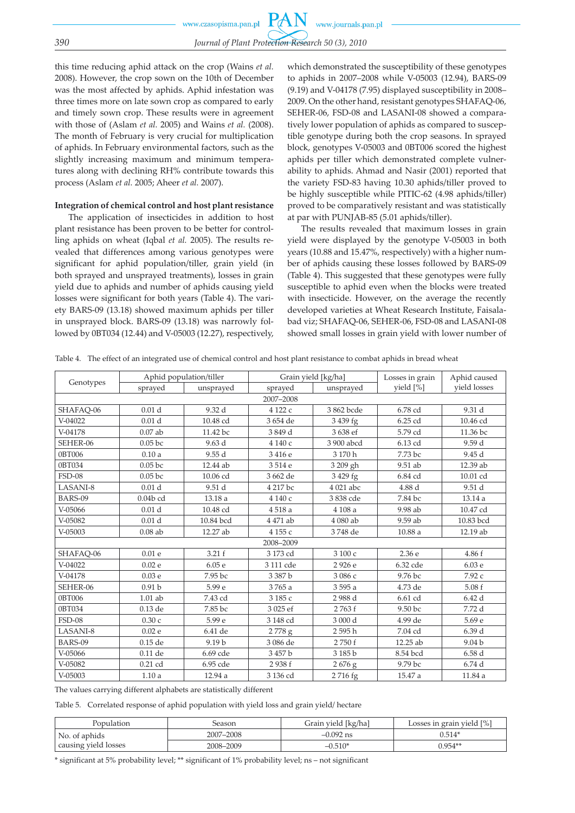this time reducing aphid attack on the crop (Wains *et al.* 2008). However, the crop sown on the 10th of December was the most affected by aphids. Aphid infestation was three times more on late sown crop as compared to early and timely sown crop. These results were in agreement with those of (Aslam *et al.* 2005) and Wains *et al.* (2008). The month of February is very crucial for multiplication of aphids. In February environmental factors, such as the slightly increasing maximum and minimum temperatures along with declining RH% contribute towards this process (Aslam *et al.* 2005; Aheer *et al.* 2007).

# **Integration of chemical control and host plant resistance**

The application of insecticides in addition to host plant resistance has been proven to be better for controlling aphids on wheat (Iqbal *et al.* 2005). The results revealed that differences among various genotypes were significant for aphid population/tiller, grain yield (in both sprayed and unsprayed treatments), losses in grain yield due to aphids and number of aphids causing yield losses were significant for both years (Table 4). The variety BARS-09 (13.18) showed maximum aphids per tiller in unsprayed block. BARS-09 (13.18) was narrowly followed by 0BT034 (12.44) and V-05003 (12.27), respectively,

which demonstrated the susceptibility of these genotypes to aphids in 2007–2008 while V-05003 (12.94), BARS-09 (9.19) and V-04178 (7.95) displayed susceptibility in 2008– 2009. On the other hand, resistant genotypes SHAFAQ-06, SEHER-06, FSD-08 and LASANI-08 showed a comparatively lower population of aphids as compared to susceptible genotype during both the crop seasons. In sprayed block, genotypes V-05003 and 0BT006 scored the highest aphids per tiller which demonstrated complete vulnerability to aphids. Ahmad and Nasir (2001) reported that the variety FSD-83 having 10.30 aphids/tiller proved to be highly susceptible while PITIC-62 (4.98 aphids/tiller) proved to be comparatively resistant and was statistically at par with PUNJAB-85 (5.01 aphids/tiller).

The results revealed that maximum losses in grain yield were displayed by the genotype V-05003 in both years (10.88 and 15.47%, respectively) with a higher number of aphids causing these losses followed by BARS-09 (Table 4). This suggested that these genotypes were fully susceptible to aphid even when the blocks were treated with insecticide. However, on the average the recently developed varieties at Wheat Research Institute, Faisalabad viz; SHAFAQ-06, SEHER-06, FSD-08 and LASANI-08 showed small losses in grain yield with lower number of

Table 4. The effect of an integrated use of chemical control and host plant resistance to combat aphids in bread wheat

| Genotypes     | Aphid population/tiller |                   |           | Grain yield [kg/ha] | Losses in grain | Aphid caused      |  |
|---------------|-------------------------|-------------------|-----------|---------------------|-----------------|-------------------|--|
|               | sprayed                 | unsprayed         | sprayed   | unsprayed           | yield [%]       | yield losses      |  |
| 2007-2008     |                         |                   |           |                     |                 |                   |  |
| SHAFAO-06     | 0.01 <sub>d</sub>       | 9.32 d            | 4122 с    | 3862 bcde           | 6.78 cd         | 9.31 d            |  |
| $V-04022$     | 0.01 <sub>d</sub>       | 10.48 cd          | 3 654 de  | 3 439 fg            | 6.25 cd         | 10.46 cd          |  |
| V-04178       | $0.07$ ab               | 11.42 bc          | 3849d     | 3 638 ef            | 5.79 cd         | 11.36 bc          |  |
| SEHER-06      | 0.05 <sub>bc</sub>      | 9.63d             | 4 140 с   | 3 900 abcd          | 6.13 cd         | 9.59 d            |  |
| 0BT006        | 0.10a                   | 9.55d             | 3416e     | 3 170 h             | 7.73 bc         | 9.45 d            |  |
| 0BT034        | 0.05 <sub>bc</sub>      | 12.44 ab          | 3514e     | 3 209 gh            | 9.51 ab         | 12.39 ab          |  |
| <b>FSD-08</b> | $0.05$ bc               | 10.06 cd          | 3 662 de  | 3 429 fg            | 6.84 cd         | 10.01 cd          |  |
| LASANI-8      | 0.01 <sub>d</sub>       | 9.51 d            | 4 217 bc  | 4 021 abc           | 4.88 d          | 9.51 d            |  |
| BARS-09       | $0.04b$ cd              | 13.18 a           | 4 140 с   | 3838 cde            | 7.84 bc         | 13.14 a           |  |
| V-05066       | 0.01 <sub>d</sub>       | 10.48 cd          | 4518 a    | 4 108 a             | 9.98 ab         | 10.47 cd          |  |
| V-05082       | 0.01 <sub>d</sub>       | 10.84 bcd         | 4 471 ab  | 4 080 ab            | 9.59 ab         | 10.83 bcd         |  |
| V-05003       | $0.08$ ab               | 12.27 ab          | 4155 с    | 3748 de             | 10.88 a         | 12.19 ab          |  |
| 2008-2009     |                         |                   |           |                     |                 |                   |  |
| SHAFAQ-06     | 0.01e                   | 3.21 f            | 3 173 cd  | 3 100 с             | 2.36 e          | 4.86 f            |  |
| $V-04022$     | 0.02e                   | 6.05e             | 3 111 cde | 2926 e              | 6.32 cde        | 6.03 e            |  |
| V-04178       | 0.03 <sub>e</sub>       | 7.95 bc           | 3 387 b   | 3086 с              | 9.76 bc         | 7.92 с            |  |
| SEHER-06      | 0.91 <sub>b</sub>       | 5.99 e            | 3765 a    | 3 595 a             | 4.73 de         | 5.08f             |  |
| 0BT006        | $1.01$ ab               | 7.43 cd           | 3185 с    | 2988 <sub>d</sub>   | 6.61 cd         | 6.42d             |  |
| 0BT034        | 0.13 de                 | 7.85 bc           | 3 025 ef  | 2763f               | 9.50 bc         | 7.72 d            |  |
| $FSD-08$      | 0.30c                   | 5.99 e            | 3 148 cd  | 3 000 d             | 4.99 de         | 5.69 e            |  |
| LASANI-8      | 0.02e                   | 6.41 de           | 2778g     | 2595h               | 7.04 cd         | 6.39d             |  |
| BARS-09       | 0.15 de                 | 9.19 <sub>b</sub> | 3 086 de  | 2750f               | 12.25 ab        | 9.04 <sub>b</sub> |  |
| V-05066       | $0.11$ de               | 6.69 cde          | 3457b     | 3185b               | 8.54 bcd        | 6.58d             |  |
| V-05082       | $0.21$ cd               | 6.95 cde          | 2938f     | $2676$ g            | 9.79 bc         | 6.74d             |  |
| V-05003       | 1.10a                   | 12.94 a           | 3 136 cd  | 2716 fg             | 15.47 a         | 11.84 a           |  |

The values carrying different alphabets are statistically different

Table 5. Correlated response of aphid population with yield loss and grain yield/ hectare

| Population           | beason    | Grain yield [kg/ha] | Losses in grain yield [%] |
|----------------------|-----------|---------------------|---------------------------|
| No. of aphids        | 2007-2008 | $-0.092$ ns         | $0.514*$                  |
| causing yield losses | 2008-2009 | $-0.510*$           | 0.954**                   |

\* significant at 5% probability level; \*\* significant of 1% probability level; ns – not significant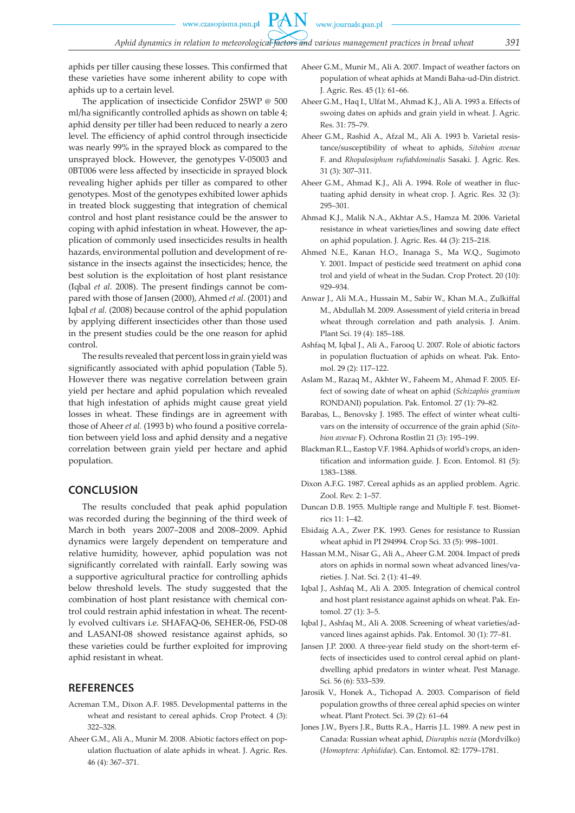**PAN** 

aphids per tiller causing these losses. This confirmed that these varieties have some inherent ability to cope with aphids up to a certain level.

The application of insecticide Confidor 25WP @ 500 ml/ha significantly controlled aphids as shown on table 4; aphid density per tiller had been reduced to nearly a zero level. The efficiency of aphid control through insecticide was nearly 99% in the sprayed block as compared to the unsprayed block. However, the genotypes V-05003 and 0BT006 were less affected by insecticide in sprayed block revealing higher aphids per tiller as compared to other genotypes. Most of the genotypes exhibited lower aphids in treated block suggesting that integration of chemical control and host plant resistance could be the answer to coping with aphid infestation in wheat. However, the application of commonly used insecticides results in health hazards, environmental pollution and development of resistance in the insects against the insecticides; hence, the best solution is the exploitation of host plant resistance (Iqbal *et al.* 2008). The present findings cannot be compared with those of Jansen (2000), Ahmed *et al.* (2001) and Iqbal *et al.* (2008) because control of the aphid population by applying different insecticides other than those used in the present studies could be the one reason for aphid control.

The results revealed that percent loss in grain yield was significantly associated with aphid population (Table 5). However there was negative correlation between grain yield per hectare and aphid population which revealed that high infestation of aphids might cause great yield losses in wheat. These findings are in agreement with those of Aheer *et al.* (1993 b) who found a positive correlation between yield loss and aphid density and a negative correlation between grain yield per hectare and aphid population.

# **CONCLUSION**

The results concluded that peak aphid population was recorded during the beginning of the third week of March in both years 2007–2008 and 2008–2009. Aphid dynamics were largely dependent on temperature and relative humidity, however, aphid population was not significantly correlated with rainfall. Early sowing was a supportive agricultural practice for controlling aphids below threshold levels. The study suggested that the combination of host plant resistance with chemical control could restrain aphid infestation in wheat. The recently evolved cultivars i.e. SHAFAQ-06, SEHER-06, FSD-08 and LASANI-08 showed resistance against aphids, so these varieties could be further exploited for improving aphid resistant in wheat.

# **REFERENCES**

- Acreman T.M., Dixon A.F. 1985. Developmental patterns in the wheat and resistant to cereal aphids. Crop Protect. 4 (3): 322–328.
- Aheer G.M., Ali A., Munir M. 2008. Abiotic factors effect on population fluctuation of alate aphids in wheat. J. Agric. Res. 46 (4): 367–371.
- Aheer G.M., Munir M., Ali A. 2007. Impact of weather factors on population of wheat aphids at Mandi Baha-ud-Din district. J. Agric. Res. 45 (1): 61–66.
- Aheer G.M., Haq I., Ulfat M., Ahmad K.J., Ali A. 1993 a. Effects of swoing dates on aphids and grain yield in wheat. J. Agric. Res. 31: 75–79.
- Aheer G.M., Rashid A., Afzal M., Ali A. 1993 b. Varietal resistance/susceptibility of wheat to aphids, *Sitobion avenae* F. and *Rhopalosiphum rufiabdominalis* Sasaki. J. Agric. Res. 31 (3): 307–311.
- Aheer G.M., Ahmad K.J., Ali A. 1994. Role of weather in fluctuating aphid density in wheat crop. J. Agric. Res. 32 (3): 295–301.
- Ahmad K.J., Malik N.A., Akhtar A.S., Hamza M. 2006. Varietal resistance in wheat varieties/lines and sowing date effect on aphid population. J. Agric. Res. 44 (3): 215–218.
- Ahmed N.E., Kanan H.O., Inanaga S., Ma W.Q., Sugimoto Y. 2001. Impact of pesticide seed treatment on aphid cona trol and yield of wheat in the Sudan. Crop Protect. 20 (10): 929–934.
- Anwar J., Ali M.A., Hussain M., Sabir W., Khan M.A., Zulkiffal M., Abdullah M. 2009. Assessment of yield criteria in bread wheat through correlation and path analysis. J. Anim. Plant Sci. 19 (4): 185–188.
- Ashfaq M, Iqbal J., Ali A., Farooq U. 2007. Role of abiotic factors in population fluctuation of aphids on wheat. Pak. Entomol. 29 (2): 117–122.
- Aslam M., Razaq M., Akhter W., Faheem M., Ahmad F. 2005. Effect of sowing date of wheat on aphid (*Schizaphis gramium* RONDANI) population. Pak. Entomol. 27 (1): 79–82.
- Barabas, L., Benovsky J. 1985. The effect of winter wheat cultivars on the intensity of occurrence of the grain aphid (*Sitobion avenae* F). Ochrona Rostlin 21 (3): 195–199.
- Blackman R.L., Eastop V.F. 1984. Aphids of world's crops, an identification and information guide. J. Econ. Entomol. 81 (5): 1383–1388.
- Dixon A.F.G. 1987. Cereal aphids as an applied problem. Agric. Zool. Rev. 2: 1–57.
- Duncan D.B. 1955. Multiple range and Multiple F. test. Biometrics 11: 1–42.
- Elsidaig A.A., Zwer P.K. 1993. Genes for resistance to Russian wheat aphid in PI 294994. Crop Sci. 33 (5): 998–1001.
- Hassan M.M., Nisar G., Ali A., Aheer G.M. 2004. Impact of prediators on aphids in normal sown wheat advanced lines/varieties. J. Nat. Sci. 2 (1): 41–49.
- Iqbal J., Ashfaq M., Ali A. 2005. Integration of chemical control and host plant resistance against aphids on wheat. Pak. Entomol. 27 (1): 3–5.
- Iqbal J., Ashfaq M., Ali A. 2008. Screening of wheat varieties/advanced lines against aphids. Pak. Entomol. 30 (1): 77–81.
- Jansen J.P. 2000. A three-year field study on the short-term effects of insecticides used to control cereal aphid on plantdwelling aphid predators in winter wheat. Pest Manage. Sci. 56 (6): 533–539.
- Jarosik V., Honek A., Tichopad A. 2003. Comparison of field population growths of three cereal aphid species on winter wheat. Plant Protect. Sci. 39 (2): 61–64
- Jones J.W., Byers J.R., Butts R.A., Harris J.L. 1989. A new pest in Canada: Russian wheat aphid, *Diuraphis noxia* (Mordvilko) (*Homoptera: Aphididae*). Can. Entomol. 82: 1779–1781.